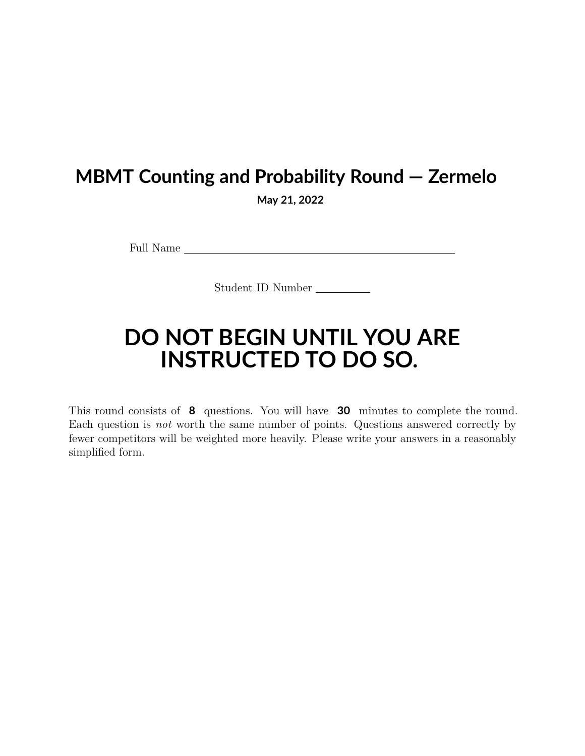## **MBMT Counting and Probability Round — Zermelo**

**May 21, 2022**

Full Name

Student ID Number

## **DO NOT BEGIN UNTIL YOU ARE INSTRUCTED TO DO SO.**

This round consists of **8** questions. You will have **30** minutes to complete the round. Each question is *not* worth the same number of points. Questions answered correctly by fewer competitors will be weighted more heavily. Please write your answers in a reasonably simplified form.